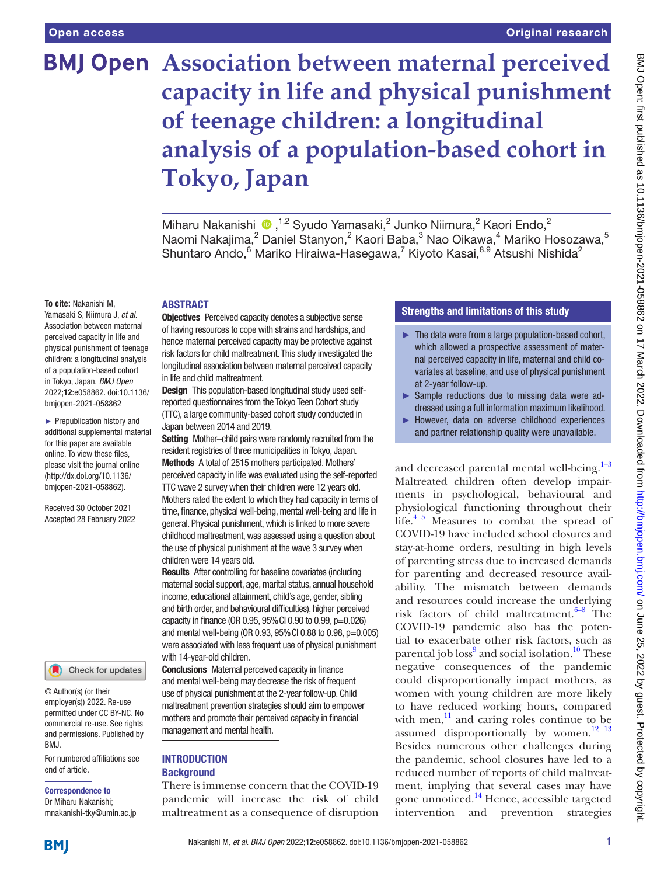# **BMJ Open** Association between maternal perceived **capacity in life and physical punishment of teenage children: a longitudinal analysis of a population-based cohort in Tokyo, Japan**

Miharu Nakanishi <sup>(D)</sup>, <sup>1,2</sup> Syudo Yamasaki,<sup>2</sup> Junko Niimura,<sup>2</sup> Kaori Endo,<sup>2</sup> Naomi Nakajima, $^2$  Daniel Stanyon, $^2$  Kaori Baba, $^3$  Nao Oikawa, $^4$  Mariko Hosozawa, $^5$ Shuntaro Ando, <sup>6</sup> Mariko Hiraiwa-Hasegawa, <sup>7</sup> Kiyoto Kasai, <sup>8,9</sup> Atsushi Nishida<sup>2</sup>

#### **To cite:** Nakanishi M,

Yamasaki S, Niimura J, *et al*. Association between maternal perceived capacity in life and physical punishment of teenage children: a longitudinal analysis of a population-based cohort in Tokyo, Japan. *BMJ Open* 2022;12:e058862. doi:10.1136/ bmjopen-2021-058862

► Prepublication history and additional supplemental material for this paper are available online. To view these files, please visit the journal online [\(http://dx.doi.org/10.1136/](http://dx.doi.org/10.1136/bmjopen-2021-058862) [bmjopen-2021-058862](http://dx.doi.org/10.1136/bmjopen-2021-058862)).

Received 30 October 2021 Accepted 28 February 2022



© Author(s) (or their employer(s)) 2022. Re-use permitted under CC BY-NC. No commercial re-use. See rights and permissions. Published by BMJ.

For numbered affiliations see end of article.

#### Correspondence to

Dr Miharu Nakanishi; mnakanishi-tky@umin.ac.jp

## ABSTRACT

**Objectives** Perceived capacity denotes a subjective sense of having resources to cope with strains and hardships, and hence maternal perceived capacity may be protective against risk factors for child maltreatment. This study investigated the longitudinal association between maternal perceived capacity in life and child maltreatment.

Design This population-based longitudinal study used selfreported questionnaires from the Tokyo Teen Cohort study (TTC), a large community-based cohort study conducted in

Japan between 2014 and 2019. Setting Mother-child pairs were randomly recruited from the

resident registries of three municipalities in Tokyo, Japan. Methods A total of 2515 mothers participated. Mothers' perceived capacity in life was evaluated using the self-reported TTC wave 2 survey when their children were 12 years old. Mothers rated the extent to which they had capacity in terms of time, finance, physical well-being, mental well-being and life in general. Physical punishment, which is linked to more severe childhood maltreatment, was assessed using a question about the use of physical punishment at the wave 3 survey when children were 14 years old.

Results After controlling for baseline covariates (including maternal social support, age, marital status, annual household income, educational attainment, child's age, gender, sibling and birth order, and behavioural difficulties), higher perceived capacity in finance (OR 0.95, 95%CI 0.90 to 0.99, p=0.026) and mental well-being (OR 0.93, 95%CI 0.88 to 0.98, p=0.005) were associated with less frequent use of physical punishment with 14-year-old children.

Conclusions Maternal perceived capacity in finance and mental well-being may decrease the risk of frequent use of physical punishment at the 2-year follow-up. Child maltreatment prevention strategies should aim to empower mothers and promote their perceived capacity in financial management and mental health.

#### **INTRODUCTION Background**

There is immense concern that the COVID-19 pandemic will increase the risk of child maltreatment as a consequence of disruption

# Strengths and limitations of this study

- ► The data were from a large population-based cohort, which allowed a prospective assessment of maternal perceived capacity in life, maternal and child covariates at baseline, and use of physical punishment at 2-year follow-up.
- ► Sample reductions due to missing data were addressed using a full information maximum likelihood.
- ► However, data on adverse childhood experiences and partner relationship quality were unavailable.

and decreased parental mental well-being.<sup>1-3</sup> Maltreated children often develop impairments in psychological, behavioural and physiological functioning throughout their life.<sup>4 5</sup> Measures to combat the spread of COVID-19 have included school closures and stay-at-home orders, resulting in high levels of parenting stress due to increased demands for parenting and decreased resource availability. The mismatch between demands and resources could increase the underlying risk factors of child maltreatment. $6-8$  The COVID-19 pandemic also has the potential to exacerbate other risk factors, such as parental job loss<sup>[9](#page-5-3)</sup> and social isolation.<sup>10</sup> These negative consequences of the pandemic could disproportionally impact mothers, as women with young children are more likely to have reduced working hours, compared with men, $\frac{11}{11}$  $\frac{11}{11}$  $\frac{11}{11}$  and caring roles continue to be assumed disproportionally by women. $12 \tcdot 13$ Besides numerous other challenges during the pandemic, school closures have led to a reduced number of reports of child maltreatment, implying that several cases may have gone unnoticed.[14](#page-5-7) Hence, accessible targeted intervention and prevention strategies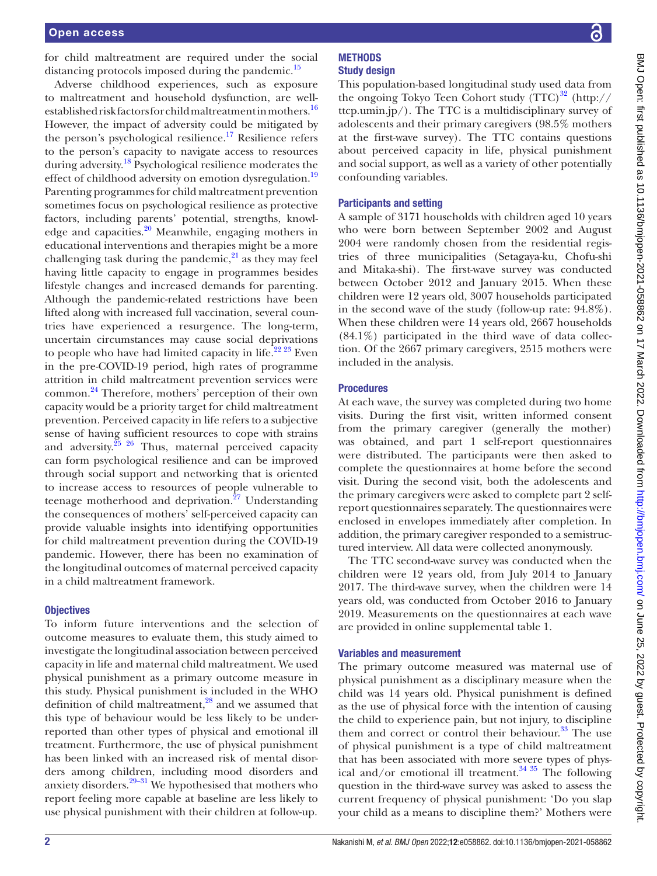for child maltreatment are required under the social distancing protocols imposed during the pandemic.<sup>15</sup>

Adverse childhood experiences, such as exposure to maltreatment and household dysfunction, are well-established risk factors for child maltreatment in mothers.<sup>[16](#page-5-9)</sup> However, the impact of adversity could be mitigated by the person's psychological resilience.<sup>17</sup> Resilience refers to the person's capacity to navigate access to resources during adversity.<sup>18</sup> Psychological resilience moderates the effect of childhood adversity on emotion dysregulation.<sup>19</sup> Parenting programmes for child maltreatment prevention sometimes focus on psychological resilience as protective factors, including parents' potential, strengths, knowl-edge and capacities.<sup>[20](#page-5-13)</sup> Meanwhile, engaging mothers in educational interventions and therapies might be a more challenging task during the pandemic, $^{21}$  as they may feel having little capacity to engage in programmes besides lifestyle changes and increased demands for parenting. Although the pandemic-related restrictions have been lifted along with increased full vaccination, several countries have experienced a resurgence. The long-term, uncertain circumstances may cause social deprivations to people who have had limited capacity in life. $22^{223}$  Even in the pre-COVID-19 period, high rates of programme attrition in child maltreatment prevention services were common.[24](#page-5-16) Therefore, mothers' perception of their own capacity would be a priority target for child maltreatment prevention. Perceived capacity in life refers to a subjective sense of having sufficient resources to cope with strains and adversity. $25 \frac{26}{10}$  Thus, maternal perceived capacity can form psychological resilience and can be improved through social support and networking that is oriented to increase access to resources of people vulnerable to teenage motherhood and deprivation. $27$  Understanding the consequences of mothers' self-perceived capacity can provide valuable insights into identifying opportunities for child maltreatment prevention during the COVID-19 pandemic. However, there has been no examination of the longitudinal outcomes of maternal perceived capacity in a child maltreatment framework.

#### **Objectives**

To inform future interventions and the selection of outcome measures to evaluate them, this study aimed to investigate the longitudinal association between perceived capacity in life and maternal child maltreatment. We used physical punishment as a primary outcome measure in this study. Physical punishment is included in the WHO definition of child maltreatment, $^{28}$  and we assumed that this type of behaviour would be less likely to be underreported than other types of physical and emotional ill treatment. Furthermore, the use of physical punishment has been linked with an increased risk of mental disorders among children, including mood disorders and anxiety disorders[.29–31](#page-5-20) We hypothesised that mothers who report feeling more capable at baseline are less likely to use physical punishment with their children at follow-up.

#### **METHODS** Study design

This population-based longitudinal study used data from the ongoing Tokyo Teen Cohort study  $(TTC)^{32}$  [\(http://](http://ttcp.umin.jp/) [ttcp.umin.jp/](http://ttcp.umin.jp/)). The TTC is a multidisciplinary survey of adolescents and their primary caregivers (98.5% mothers at the first-wave survey). The TTC contains questions about perceived capacity in life, physical punishment and social support, as well as a variety of other potentially confounding variables.

# Participants and setting

A sample of 3171 households with children aged 10 years who were born between September 2002 and August 2004 were randomly chosen from the residential registries of three municipalities (Setagaya-ku, Chofu-shi and Mitaka-shi). The first-wave survey was conducted between October 2012 and January 2015. When these children were 12 years old, 3007 households participated in the second wave of the study (follow-up rate: 94.8%). When these children were 14 years old, 2667 households (84.1%) participated in the third wave of data collection. Of the 2667 primary caregivers, 2515 mothers were included in the analysis.

# Procedures

At each wave, the survey was completed during two home visits. During the first visit, written informed consent from the primary caregiver (generally the mother) was obtained, and part 1 self-report questionnaires were distributed. The participants were then asked to complete the questionnaires at home before the second visit. During the second visit, both the adolescents and the primary caregivers were asked to complete part 2 selfreport questionnaires separately. The questionnaires were enclosed in envelopes immediately after completion. In addition, the primary caregiver responded to a semistructured interview. All data were collected anonymously.

The TTC second-wave survey was conducted when the children were 12 years old, from July 2014 to January 2017. The third-wave survey, when the children were 14 years old, was conducted from October 2016 to January 2019. Measurements on the questionnaires at each wave are provided in [online supplemental table 1](https://dx.doi.org/10.1136/bmjopen-2021-058862).

# Variables and measurement

The primary outcome measured was maternal use of physical punishment as a disciplinary measure when the child was 14 years old. Physical punishment is defined as the use of physical force with the intention of causing the child to experience pain, but not injury, to discipline them and correct or control their behaviour. $33$  The use of physical punishment is a type of child maltreatment that has been associated with more severe types of physical and/or emotional ill treatment.<sup>34 35</sup> The following question in the third-wave survey was asked to assess the current frequency of physical punishment: 'Do you slap your child as a means to discipline them?' Mothers were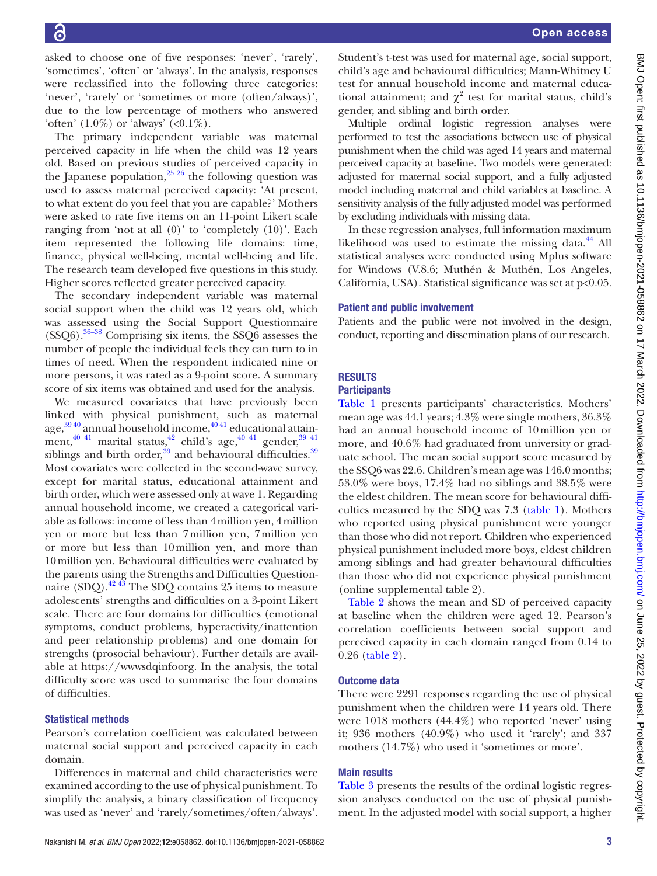asked to choose one of five responses: 'never', 'rarely', 'sometimes', 'often' or 'always'. In the analysis, responses were reclassified into the following three categories: 'never', 'rarely' or 'sometimes or more (often/always)', due to the low percentage of mothers who answered 'often'  $(1.0\%)$  or 'always'  $(\langle 0.1\% )$ .

The primary independent variable was maternal perceived capacity in life when the child was 12 years old. Based on previous studies of perceived capacity in the Japanese population,  $^{25,26}$  the following question was used to assess maternal perceived capacity: 'At present, to what extent do you feel that you are capable?' Mothers were asked to rate five items on an 11-point Likert scale ranging from 'not at all (0)' to 'completely (10)'. Each item represented the following life domains: time, finance, physical well-being, mental well-being and life. The research team developed five questions in this study. Higher scores reflected greater perceived capacity.

The secondary independent variable was maternal social support when the child was 12 years old, which was assessed using the Social Support Questionnaire (SSQ6)[.36–38](#page-6-3) Comprising six items, the SSQ6 assesses the number of people the individual feels they can turn to in times of need. When the respondent indicated nine or more persons, it was rated as a 9-point score. A summary score of six items was obtained and used for the analysis.

We measured covariates that have previously been linked with physical punishment, such as maternal age, $^{39\,40}$  annual household income, $^{40\,41}$  educational attainment, $^{40}$ <sup>41</sup> marital status, $^{42}$  child's age, $^{40}$ <sup>41</sup> gender, $^{39}$ <sup>41</sup> siblings and birth order,<sup>39</sup> and behavioural difficulties.<sup>39</sup> Most covariates were collected in the second-wave survey, except for marital status, educational attainment and birth order, which were assessed only at wave 1. Regarding annual household income, we created a categorical variable as follows: income of less than 4million yen, 4million yen or more but less than 7million yen, 7million yen or more but less than 10million yen, and more than 10million yen. Behavioural difficulties were evaluated by the parents using the Strengths and Difficulties Questionnaire (SDQ). $42\frac{43}{3}$  The SDQ contains 25 items to measure adolescents' strengths and difficulties on a 3-point Likert scale. There are four domains for difficulties (emotional symptoms, conduct problems, hyperactivity/inattention and peer relationship problems) and one domain for strengths (prosocial behaviour). Further details are available at <https://wwwsdqinfoorg>. In the analysis, the total difficulty score was used to summarise the four domains of difficulties.

#### Statistical methods

Pearson's correlation coefficient was calculated between maternal social support and perceived capacity in each domain.

Differences in maternal and child characteristics were examined according to the use of physical punishment. To simplify the analysis, a binary classification of frequency was used as 'never' and 'rarely/sometimes/often/always'.

Student's t-test was used for maternal age, social support, child's age and behavioural difficulties; Mann-Whitney U test for annual household income and maternal educational attainment; and  $\chi^2$  test for marital status, child's gender, and sibling and birth order.

Multiple ordinal logistic regression analyses were performed to test the associations between use of physical punishment when the child was aged 14 years and maternal perceived capacity at baseline. Two models were generated: adjusted for maternal social support, and a fully adjusted model including maternal and child variables at baseline. A sensitivity analysis of the fully adjusted model was performed by excluding individuals with missing data.

In these regression analyses, full information maximum likelihood was used to estimate the missing data. $^{44}$  All statistical analyses were conducted using Mplus software for Windows (V.8.6; Muthén & Muthén, Los Angeles, California, USA). Statistical significance was set at p<0.05.

#### Patient and public involvement

Patients and the public were not involved in the design, conduct, reporting and dissemination plans of our research.

## **RESULTS**

#### **Participants**

[Table](#page-3-0) 1 presents participants' characteristics. Mothers' mean age was 44.1 years; 4.3% were single mothers, 36.3% had an annual household income of 10million yen or more, and 40.6% had graduated from university or graduate school. The mean social support score measured by the SSQ6 was 22.6. Children's mean age was 146.0 months; 53.0% were boys, 17.4% had no siblings and 38.5% were the eldest children. The mean score for behavioural difficulties measured by the SDQ was 7.3 [\(table](#page-3-0) 1). Mothers who reported using physical punishment were younger than those who did not report. Children who experienced physical punishment included more boys, eldest children among siblings and had greater behavioural difficulties than those who did not experience physical punishment [\(online supplemental table 2](https://dx.doi.org/10.1136/bmjopen-2021-058862)).

[Table](#page-3-1) 2 shows the mean and SD of perceived capacity at baseline when the children were aged 12. Pearson's correlation coefficients between social support and perceived capacity in each domain ranged from 0.14 to 0.26 [\(table](#page-3-1) 2).

#### Outcome data

There were 2291 responses regarding the use of physical punishment when the children were 14 years old. There were 1018 mothers (44.4%) who reported 'never' using it; 936 mothers (40.9%) who used it 'rarely'; and 337 mothers (14.7%) who used it 'sometimes or more'.

#### Main results

[Table](#page-4-0) 3 presents the results of the ordinal logistic regression analyses conducted on the use of physical punishment. In the adjusted model with social support, a higher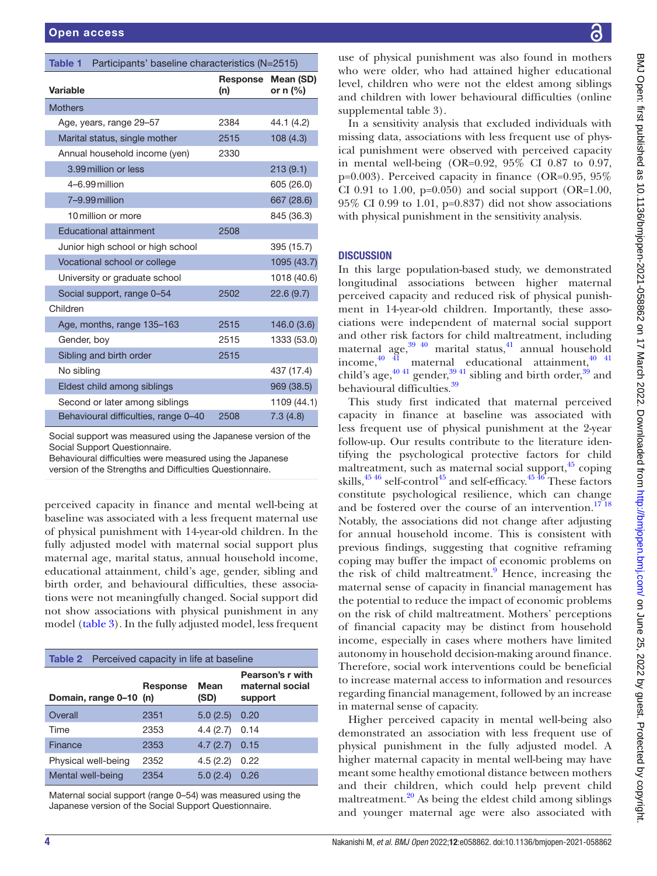<span id="page-3-0"></span>

| Participants' baseline characteristics (N=2515)<br>Table 1 |                 |                         |  |  |  |
|------------------------------------------------------------|-----------------|-------------------------|--|--|--|
| Variable                                                   | Response<br>(n) | Mean (SD)<br>or $n$ (%) |  |  |  |
| <b>Mothers</b>                                             |                 |                         |  |  |  |
| Age, years, range 29-57                                    | 2384            | 44.1 (4.2)              |  |  |  |
| Marital status, single mother                              | 2515            | 108(4.3)                |  |  |  |
| Annual household income (yen)                              | 2330            |                         |  |  |  |
| 3.99 million or less                                       |                 | 213(9.1)                |  |  |  |
| 4-6.99 million                                             |                 | 605 (26.0)              |  |  |  |
| 7-9.99 million                                             |                 | 667 (28.6)              |  |  |  |
| 10 million or more                                         |                 | 845 (36.3)              |  |  |  |
| <b>Educational attainment</b>                              | 2508            |                         |  |  |  |
| Junior high school or high school                          |                 | 395 (15.7)              |  |  |  |
| Vocational school or college                               |                 | 1095 (43.7)             |  |  |  |
| University or graduate school                              |                 | 1018 (40.6)             |  |  |  |
| Social support, range 0-54                                 | 2502            | 22.6 (9.7)              |  |  |  |
| Children                                                   |                 |                         |  |  |  |
| Age, months, range 135-163                                 | 2515            | 146.0(3.6)              |  |  |  |
| Gender, boy                                                | 2515            | 1333 (53.0)             |  |  |  |
| Sibling and birth order                                    | 2515            |                         |  |  |  |
| No sibling                                                 |                 | 437 (17.4)              |  |  |  |
| Eldest child among siblings                                |                 | 969 (38.5)              |  |  |  |
| Second or later among siblings                             |                 | 1109 (44.1)             |  |  |  |
| Behavioural difficulties, range 0-40                       | 2508            | 7.3(4.8)                |  |  |  |

Social support was measured using the Japanese version of the Social Support Questionnaire.

Behavioural difficulties were measured using the Japanese version of the Strengths and Difficulties Questionnaire.

perceived capacity in finance and mental well-being at baseline was associated with a less frequent maternal use of physical punishment with 14-year-old children. In the fully adjusted model with maternal social support plus maternal age, marital status, annual household income, educational attainment, child's age, gender, sibling and birth order, and behavioural difficulties, these associations were not meaningfully changed. Social support did not show associations with physical punishment in any model ([table](#page-4-0) 3). In the fully adjusted model, less frequent

<span id="page-3-1"></span>

| <b>Table 2</b> Perceived capacity in life at baseline |          |              |                                                |  |  |
|-------------------------------------------------------|----------|--------------|------------------------------------------------|--|--|
| Domain, range 0-10 (n)                                | Response | Mean<br>(SD) | Pearson's r with<br>maternal social<br>support |  |  |
| Overall                                               | 2351     | 5.0(2.5)     | 0.20                                           |  |  |
| Time                                                  | 2353     | 4.4(2.7)     | 0.14                                           |  |  |
| Finance                                               | 2353     | 4.7(2.7)     | 0.15                                           |  |  |
| Physical well-being                                   | 2352     | 4.5(2.2)     | 0.22                                           |  |  |
| Mental well-being                                     | 2354     | 5.0(2.4)     | 0.26                                           |  |  |

Maternal social support (range 0–54) was measured using the Japanese version of the Social Support Questionnaire.

use of physical punishment was also found in mothers who were older, who had attained higher educational level, children who were not the eldest among siblings and children with lower behavioural difficulties ([online](https://dx.doi.org/10.1136/bmjopen-2021-058862)  [supplemental table 3\)](https://dx.doi.org/10.1136/bmjopen-2021-058862).

In a sensitivity analysis that excluded individuals with missing data, associations with less frequent use of physical punishment were observed with perceived capacity in mental well-being (OR=0.92, 95% CI 0.87 to 0.97, p=0.003). Perceived capacity in finance (OR=0.95, 95% CI 0.91 to 1.00,  $p=0.050$  and social support (OR=1.00, 95% CI 0.99 to 1.01, p=0.837) did not show associations with physical punishment in the sensitivity analysis.

# **DISCUSSION**

In this large population-based study, we demonstrated longitudinal associations between higher maternal perceived capacity and reduced risk of physical punishment in 14-year-old children. Importantly, these associations were independent of maternal social support and other risk factors for child maltreatment, including maternal age,  $39\frac{40}{10}$  marital status,  $41\frac{1}{10}$  annual household income,  $\frac{40}{41}$  maternal educational attainment,  $\frac{40}{41}$ child's age, $40\frac{41}{9}$  gender, $39\frac{41}{9}$  sibling and birth order, $39\frac{41}{9}$  and behavioural difficulties.<sup>39</sup>

This study first indicated that maternal perceived capacity in finance at baseline was associated with less frequent use of physical punishment at the 2-year follow-up. Our results contribute to the literature identifying the psychological protective factors for child maltreatment, such as maternal social support,  $45$  coping skills, $45\frac{45}{6}$  self-control<sup>45</sup> and self-efficacy.<sup>4546</sup> These factors constitute psychological resilience, which can change and be fostered over the course of an intervention.<sup>1718</sup> Notably, the associations did not change after adjusting for annual household income. This is consistent with previous findings, suggesting that cognitive reframing coping may buffer the impact of economic problems on the risk of child maltreatment.<sup>[9](#page-5-3)</sup> Hence, increasing the maternal sense of capacity in financial management has the potential to reduce the impact of economic problems on the risk of child maltreatment. Mothers' perceptions of financial capacity may be distinct from household income, especially in cases where mothers have limited autonomy in household decision-making around finance. Therefore, social work interventions could be beneficial to increase maternal access to information and resources regarding financial management, followed by an increase in maternal sense of capacity.

Higher perceived capacity in mental well-being also demonstrated an association with less frequent use of physical punishment in the fully adjusted model. A higher maternal capacity in mental well-being may have meant some healthy emotional distance between mothers and their children, which could help prevent child maltreatment. $^{20}$  As being the eldest child among siblings and younger maternal age were also associated with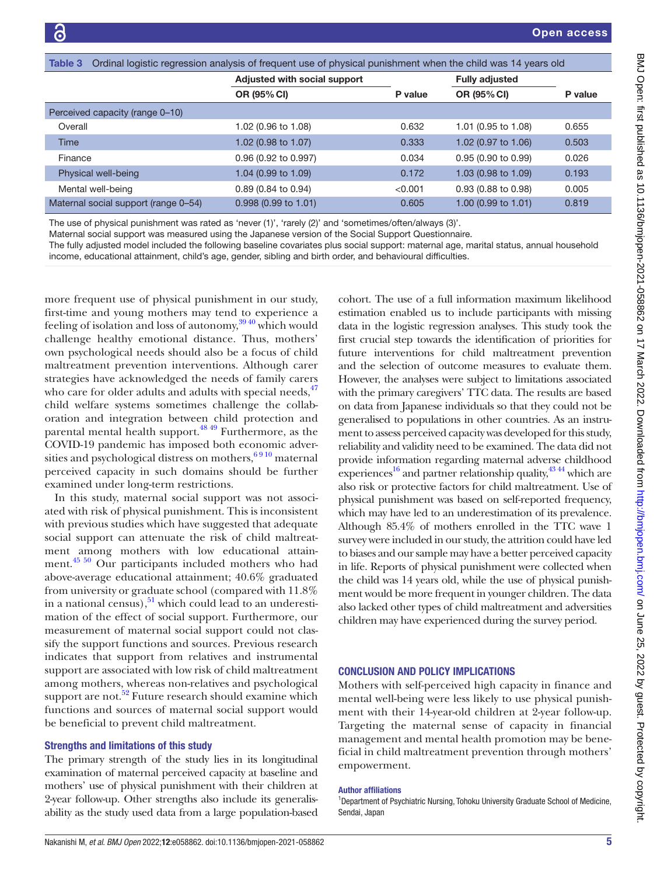<span id="page-4-0"></span>

| Ordinal logistic regression analysis of frequent use of physical punishment when the child was 14 years old<br>Table 3 |                                |         |                          |         |  |  |
|------------------------------------------------------------------------------------------------------------------------|--------------------------------|---------|--------------------------|---------|--|--|
|                                                                                                                        | Adjusted with social support   |         | <b>Fully adjusted</b>    |         |  |  |
|                                                                                                                        | OR (95% CI)                    | P value | <b>OR (95% CI)</b>       | P value |  |  |
| Perceived capacity (range 0-10)                                                                                        |                                |         |                          |         |  |  |
| Overall                                                                                                                | 1.02 (0.96 to 1.08)            | 0.632   | 1.01 (0.95 to 1.08)      | 0.655   |  |  |
| <b>Time</b>                                                                                                            | 1.02 (0.98 to 1.07)            | 0.333   | 1.02 (0.97 to 1.06)      | 0.503   |  |  |
| Finance                                                                                                                | 0.96 (0.92 to 0.997)           | 0.034   | $0.95(0.90)$ to $0.99$ ) | 0.026   |  |  |
| Physical well-being                                                                                                    | 1.04 (0.99 to 1.09)            | 0.172   | 1.03 (0.98 to 1.09)      | 0.193   |  |  |
| Mental well-being                                                                                                      | $0.89$ (0.84 to 0.94)          | < 0.001 | $0.93$ (0.88 to 0.98)    | 0.005   |  |  |
| Maternal social support (range 0-54)                                                                                   | $0.998(0.99 \text{ to } 1.01)$ | 0.605   | 1.00 (0.99 to 1.01)      | 0.819   |  |  |

The use of physical punishment was rated as 'never (1)', 'rarely (2)' and 'sometimes/often/always (3)'.

Maternal social support was measured using the Japanese version of the Social Support Questionnaire.

The fully adjusted model included the following baseline covariates plus social support: maternal age, marital status, annual household income, educational attainment, child's age, gender, sibling and birth order, and behavioural difficulties.

more frequent use of physical punishment in our study, first-time and young mothers may tend to experience a feeling of isolation and loss of autonomy,<sup>3940</sup> which would challenge healthy emotional distance. Thus, mothers' own psychological needs should also be a focus of child maltreatment prevention interventions. Although carer strategies have acknowledged the needs of family carers who care for older adults and adults with special needs, <sup>47</sup> child welfare systems sometimes challenge the collaboration and integration between child protection and parental mental health support.<sup>48 49</sup> Furthermore, as the COVID-19 pandemic has imposed both economic adversities and psychological distress on mothers,  $6910$  maternal perceived capacity in such domains should be further examined under long-term restrictions.

In this study, maternal social support was not associated with risk of physical punishment. This is inconsistent with previous studies which have suggested that adequate social support can attenuate the risk of child maltreatment among mothers with low educational attainment.[45 50](#page-6-9) Our participants included mothers who had above-average educational attainment; 40.6% graduated from university or graduate school (compared with 11.8% in a national census),  $51$  which could lead to an underestimation of the effect of social support. Furthermore, our measurement of maternal social support could not classify the support functions and sources. Previous research indicates that support from relatives and instrumental support are associated with low risk of child maltreatment among mothers, whereas non-relatives and psychological support are not.<sup>52</sup> Future research should examine which functions and sources of maternal social support would be beneficial to prevent child maltreatment.

#### Strengths and limitations of this study

The primary strength of the study lies in its longitudinal examination of maternal perceived capacity at baseline and mothers' use of physical punishment with their children at 2-year follow-up. Other strengths also include its generalisability as the study used data from a large population-based

cohort. The use of a full information maximum likelihood estimation enabled us to include participants with missing data in the logistic regression analyses. This study took the first crucial step towards the identification of priorities for future interventions for child maltreatment prevention and the selection of outcome measures to evaluate them. However, the analyses were subject to limitations associated with the primary caregivers' TTC data. The results are based on data from Japanese individuals so that they could not be generalised to populations in other countries. As an instrument to assess perceived capacity was developed for this study, reliability and validity need to be examined. The data did not provide information regarding maternal adverse childhood experiences<sup>16</sup> and partner relationship quality,  $43\frac{44}{1}$  which are also risk or protective factors for child maltreatment. Use of physical punishment was based on self-reported frequency, which may have led to an underestimation of its prevalence. Although 85.4% of mothers enrolled in the TTC wave 1 survey were included in our study, the attrition could have led to biases and our sample may have a better perceived capacity in life. Reports of physical punishment were collected when the child was 14 years old, while the use of physical punishment would be more frequent in younger children. The data also lacked other types of child maltreatment and adversities children may have experienced during the survey period.

#### CONCLUSION AND POLICY IMPLICATIONS

Mothers with self-perceived high capacity in finance and mental well-being were less likely to use physical punishment with their 14-year-old children at 2-year follow-up. Targeting the maternal sense of capacity in financial management and mental health promotion may be beneficial in child maltreatment prevention through mothers' empowerment.

#### Author affiliations

<sup>1</sup>Department of Psychiatric Nursing, Tohoku University Graduate School of Medicine, Sendai, Japan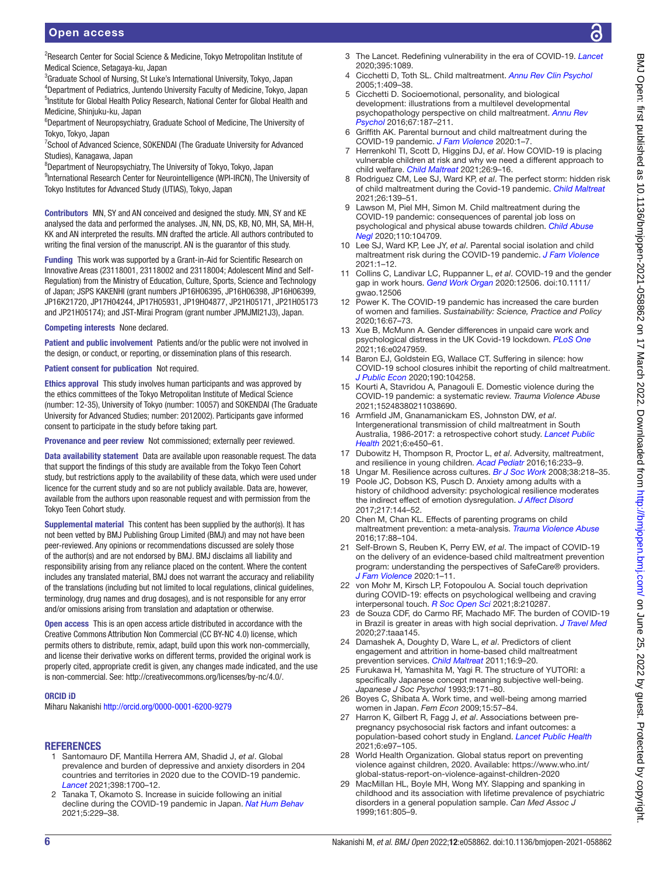# Open access

<sup>2</sup>Research Center for Social Science & Medicine, Tokyo Metropolitan Institute of Medical Science, Setagaya-ku, Japan

<sup>3</sup>Graduate School of Nursing, St Luke's International University, Tokyo, Japan 4 Department of Pediatrics, Juntendo University Faculty of Medicine, Tokyo, Japan <sup>5</sup>Institute for Global Health Policy Research, National Center for Global Health and Medicine, Shinjuku-ku, Japan

<sup>6</sup>Department of Neuropsychiatry, Graduate School of Medicine, The University of Tokyo, Tokyo, Japan

<sup>7</sup>School of Advanced Science, SOKENDAI (The Graduate University for Advanced Studies), Kanagawa, Japan

8 Department of Neuropsychiatry, The University of Tokyo, Tokyo, Japan

<sup>9</sup>International Research Center for Neurointelligence (WPI-IRCN), The University of Tokyo Institutes for Advanced Study (UTIAS), Tokyo, Japan

Contributors MN, SY and AN conceived and designed the study. MN, SY and KE analysed the data and performed the analyses. JN, NN, DS, KB, NO, MH, SA, MH-H, KK and AN interpreted the results. MN drafted the article. All authors contributed to writing the final version of the manuscript. AN is the guarantor of this study.

Funding This work was supported by a Grant-in-Aid for Scientific Research on Innovative Areas (23118001, 23118002 and 23118004; Adolescent Mind and Self-Regulation) from the Ministry of Education, Culture, Sports, Science and Technology of Japan; JSPS KAKENHI (grant numbers JP16H06395, JP16H06398, JP16H06399, JP16K21720, JP17H04244, JP17H05931, JP19H04877, JP21H05171, JP21H05173 and JP21H05174); and JST-Mirai Program (grant number JPMJMI21J3), Japan.

#### Competing interests None declared.

Patient and public involvement Patients and/or the public were not involved in the design, or conduct, or reporting, or dissemination plans of this research.

#### Patient consent for publication Not required.

Ethics approval This study involves human participants and was approved by the ethics committees of the Tokyo Metropolitan Institute of Medical Science (number: 12-35), University of Tokyo (number: 10057) and SOKENDAI (The Graduate University for Advanced Studies; number: 2012002). Participants gave informed consent to participate in the study before taking part.

Provenance and peer review Not commissioned; externally peer reviewed.

Data availability statement Data are available upon reasonable request. The data that support the findings of this study are available from the Tokyo Teen Cohort study, but restrictions apply to the availability of these data, which were used under licence for the current study and so are not publicly available. Data are, however, available from the authors upon reasonable request and with permission from the Tokyo Teen Cohort study.

Supplemental material This content has been supplied by the author(s). It has not been vetted by BMJ Publishing Group Limited (BMJ) and may not have been peer-reviewed. Any opinions or recommendations discussed are solely those of the author(s) and are not endorsed by BMJ. BMJ disclaims all liability and responsibility arising from any reliance placed on the content. Where the content includes any translated material, BMJ does not warrant the accuracy and reliability of the translations (including but not limited to local regulations, clinical guidelines, terminology, drug names and drug dosages), and is not responsible for any error and/or omissions arising from translation and adaptation or otherwise.

Open access This is an open access article distributed in accordance with the Creative Commons Attribution Non Commercial (CC BY-NC 4.0) license, which permits others to distribute, remix, adapt, build upon this work non-commercially, and license their derivative works on different terms, provided the original work is properly cited, appropriate credit is given, any changes made indicated, and the use is non-commercial. See: [http://creativecommons.org/licenses/by-nc/4.0/.](http://creativecommons.org/licenses/by-nc/4.0/)

#### ORCID iD

Miharu Nakanishi <http://orcid.org/0000-0001-6200-9279>

#### REFERENCES

- <span id="page-5-0"></span>1 Santomauro DF, Mantilla Herrera AM, Shadid J, *et al*. Global prevalence and burden of depressive and anxiety disorders in 204 countries and territories in 2020 due to the COVID-19 pandemic. *[Lancet](http://dx.doi.org/10.1016/S0140-6736(21)02143-7)* 2021;398:1700–12.
- 2 Tanaka T, Okamoto S. Increase in suicide following an initial decline during the COVID-19 pandemic in Japan. *[Nat Hum Behav](http://dx.doi.org/10.1038/s41562-020-01042-z)* 2021;5:229–38.
- 3 The Lancet. Redefining vulnerability in the era of COVID-19. *[Lancet](http://dx.doi.org/10.1016/S0140-6736(20)30757-1)* 2020;395:1089.
- <span id="page-5-1"></span>4 Cicchetti D, Toth SL. Child maltreatment. *[Annu Rev Clin Psychol](http://dx.doi.org/10.1146/annurev.clinpsy.1.102803.144029)* 2005;1:409–38.
- 5 Cicchetti D. Socioemotional, personality, and biological development: illustrations from a multilevel developmental psychopathology perspective on child maltreatment. *[Annu Rev](http://dx.doi.org/10.1146/annurev-psych-122414-033259)  [Psychol](http://dx.doi.org/10.1146/annurev-psych-122414-033259)* 2016;67:187–211.
- <span id="page-5-2"></span>6 Griffith AK. Parental burnout and child maltreatment during the COVID-19 pandemic. *[J Fam Violence](http://dx.doi.org/10.1007/s10896-020-00172-2)* 2020:1–7.
- 7 Herrenkohl TI, Scott D, Higgins DJ, *et al*. How COVID-19 is placing vulnerable children at risk and why we need a different approach to child welfare. *[Child Maltreat](http://dx.doi.org/10.1177/1077559520963916)* 2021;26:9–16.
- 8 Rodriguez CM, Lee SJ, Ward KP, *et al*. The perfect storm: hidden risk of child maltreatment during the Covid-19 pandemic. *[Child Maltreat](http://dx.doi.org/10.1177/1077559520982066)* 2021;26:139–51.
- <span id="page-5-3"></span>9 Lawson M, Piel MH, Simon M. Child maltreatment during the COVID-19 pandemic: consequences of parental job loss on psychological and physical abuse towards children. *[Child Abuse](http://dx.doi.org/10.1016/j.chiabu.2020.104709)  [Negl](http://dx.doi.org/10.1016/j.chiabu.2020.104709)* 2020;110:104709.
- <span id="page-5-4"></span>10 Lee SJ, Ward KP, Lee JY, *et al*. Parental social isolation and child maltreatment risk during the COVID-19 pandemic. *[J Fam Violence](http://dx.doi.org/10.1007/s10896-020-00244-3)* 2021:1–12.
- <span id="page-5-5"></span>11 Collins C, Landivar LC, Ruppanner L, *et al*. COVID-19 and the gender gap in work hours. *[Gend Work Organ](http://dx.doi.org/10.1111/gwao.12506)* 2020:12506. doi:10.1111/ gwao.12506
- <span id="page-5-6"></span>12 Power K. The COVID-19 pandemic has increased the care burden of women and families. *Sustainability: Science, Practice and Policy* 2020;16:67–73.
- 13 Xue B, McMunn A. Gender differences in unpaid care work and psychological distress in the UK Covid-19 lockdown. *[PLoS One](http://dx.doi.org/10.1371/journal.pone.0247959)* 2021;16:e0247959.
- <span id="page-5-7"></span>14 Baron EJ, Goldstein EG, Wallace CT. Suffering in silence: how COVID-19 school closures inhibit the reporting of child maltreatment. *[J Public Econ](http://dx.doi.org/10.1016/j.jpubeco.2020.104258)* 2020;190:104258.
- <span id="page-5-8"></span>15 Kourti A, Stavridou A, Panagouli E. Domestic violence during the COVID-19 pandemic: a systematic review. *Trauma Violence Abuse* 2021;15248380211038690.
- <span id="page-5-9"></span>16 Armfield JM, Gnanamanickam ES, Johnston DW, *et al*. Intergenerational transmission of child maltreatment in South Australia, 1986-2017: a retrospective cohort study. *[Lancet Public](http://dx.doi.org/10.1016/S2468-2667(21)00024-4)  [Health](http://dx.doi.org/10.1016/S2468-2667(21)00024-4)* 2021;6:e450–61.
- <span id="page-5-10"></span>17 Dubowitz H, Thompson R, Proctor L, *et al*. Adversity, maltreatment, and resilience in young children. *[Acad Pediatr](http://dx.doi.org/10.1016/j.acap.2015.12.005)* 2016;16:233–9.
- <span id="page-5-11"></span>18 Ungar M. Resilience across cultures. *[Br J Soc Work](http://dx.doi.org/10.1093/bjsw/bcl343)* 2008;38:218–35.
- <span id="page-5-12"></span>19 Poole JC, Dobson KS, Pusch D. Anxiety among adults with a history of childhood adversity: psychological resilience moderates the indirect effect of emotion dysregulation. *[J Affect Disord](http://dx.doi.org/10.1016/j.jad.2017.03.047)* 2017;217:144–52.
- <span id="page-5-13"></span>20 Chen M, Chan KL. Effects of parenting programs on child maltreatment prevention: a meta-analysis. *[Trauma Violence Abuse](http://dx.doi.org/10.1177/1524838014566718)* 2016;17:88–104.
- <span id="page-5-14"></span>21 Self-Brown S, Reuben K, Perry EW, *et al*. The impact of COVID-19 on the delivery of an evidence-based child maltreatment prevention program: understanding the perspectives of SafeCare® providers. *[J Fam Violence](http://dx.doi.org/10.1007/s10896-020-00217-6)* 2020:1–11.
- <span id="page-5-15"></span>22 von Mohr M, Kirsch LP, Fotopoulou A. Social touch deprivation during COVID-19: effects on psychological wellbeing and craving interpersonal touch. *[R Soc Open Sci](http://dx.doi.org/10.1098/rsos.210287)* 2021;8:210287.
- 23 de Souza CDF, do Carmo RF, Machado MF. The burden of COVID-19 in Brazil is greater in areas with high social deprivation. *[J Travel Med](http://dx.doi.org/10.1093/jtm/taaa145)* 2020;27:taaa145.
- <span id="page-5-16"></span>24 Damashek A, Doughty D, Ware L, *et al*. Predictors of client engagement and attrition in home-based child maltreatment prevention services. *[Child Maltreat](http://dx.doi.org/10.1177/1077559510388507)* 2011;16:9–20.
- <span id="page-5-17"></span>25 Furukawa H, Yamashita M, Yagi R. The structure of YUTORI: a specifically Japanese concept meaning subjective well-being. *Japanese J Soc Psychol* 1993;9:171–80.
- 26 Boyes C, Shibata A. Work time, and well-being among married women in Japan. *Fem Econ* 2009;15:57–84.
- <span id="page-5-18"></span>27 Harron K, Gilbert R, Fagg J, *et al*. Associations between prepregnancy psychosocial risk factors and infant outcomes: a population-based cohort study in England. *[Lancet Public Health](http://dx.doi.org/10.1016/S2468-2667(20)30210-3)* 2021;6:e97–105.
- <span id="page-5-19"></span>28 World Health Organization. Global status report on preventing violence against children, 2020. Available: [https://www.who.int/](https://www.who.int/global-status-report-on-violence-against-children-2020) [global-status-report-on-violence-against-children-2020](https://www.who.int/global-status-report-on-violence-against-children-2020)
- <span id="page-5-20"></span>29 MacMillan HL, Boyle MH, Wong MY. Slapping and spanking in childhood and its association with lifetime prevalence of psychiatric disorders in a general population sample. *Can Med Assoc J* 1999;161:805–9.